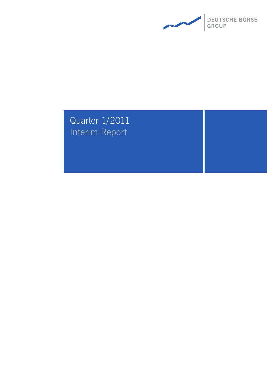

# Quarter 1/2011 Interim Report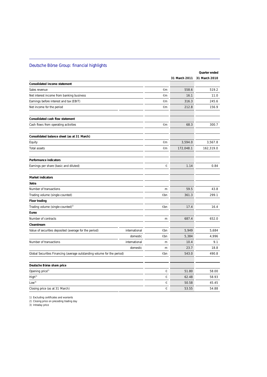## Deutsche Börse Group: financial highlights

|                                                                         |               |     |               | Quarter ended |
|-------------------------------------------------------------------------|---------------|-----|---------------|---------------|
|                                                                         |               |     | 31 March 2011 | 31 March 2010 |
| Consolidated income statement                                           |               |     |               |               |
| Sales revenue                                                           |               | €m  | 558.6         | 519.2         |
| Net interest income from banking business                               |               | €m  | 16.1          | 11.0          |
| Earnings before interest and tax (EBIT)                                 |               | €m  | 316.3         | 245.6         |
| Net income for the period                                               |               | €m  | 212.8         | 156.9         |
| Consolidated cash flow statement                                        |               |     |               |               |
| Cash flows from operating activities                                    |               | €m  | 68.3          | 300.7         |
| Consolidated balance sheet (as at 31 March)                             |               |     |               |               |
| Equity                                                                  |               | €m  | 3,594.0       | 3,567.8       |
| Total assets                                                            |               | €m  | 172,048.1     | 162,319.0     |
| Performance indicators                                                  |               |     |               |               |
| Earnings per share (basic and diluted)                                  |               | €   | 1.14          | 0.84          |
| Market indicators                                                       |               |     |               |               |
| Xetra                                                                   |               |     |               |               |
| Number of transactions                                                  |               | m   | 59.5          | 43.8          |
| Trading volume (single-counted)                                         |               | €bn | 361.3         | 299.1         |
| Floor trading                                                           |               |     |               |               |
| Trading volume (single-counted) <sup>1)</sup>                           |               | €bn | 17.4          | 16.4          |
| Eurex                                                                   |               |     |               |               |
| Number of contracts                                                     |               | m   | 687.4         | 652.0         |
| Clearstream                                                             |               |     |               |               |
| Value of securities deposited (average for the period)                  | international | €bn | 5,949         | 5,684         |
|                                                                         | domestic      | €bn | 5,384         | 4,996         |
| Number of transactions                                                  | international | m   | 10.4          | 9.1           |
|                                                                         | domestic      | m   | 23.7          | 18.8          |
| Global Securities Financing (average outstanding volume for the period) |               | €bn | 543.0         | 490.8         |
| Deutsche Börse share price                                              |               |     |               |               |
| Opening price <sup>2)</sup>                                             |               | €   | 51.80         | 58.00         |
| High <sup>3</sup>                                                       |               | €   | 62.48         | 58.93         |
| Low <sup>3</sup>                                                        |               | €   | 50.58         | 45.45         |
| Closing price (as at 31 March)                                          |               | €   | 53.55         | 54.88         |

1) Excluding certificates and warrants

2) Closing price on preceding trading day

3) Intraday price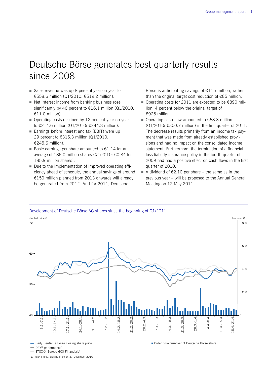## Deutsche Börse generates best quarterly results since 2008

- Sales revenue was up 8 percent year-on-year to €558.6 million (Q1/2010: €519.2 million).
- Net interest income from banking business rose significantly by 46 percent to  $\epsilon$ 16.1 million (Q1/2010: €11.0 million).
- Operating costs declined by 12 percent year-on-year to €214.6 million (Q1/2010: €244.8 million).
- Earnings before interest and tax (EBIT) were up 29 percent to €316.3 million (Q1/2010: €245.6 million).
- Basic earnings per share amounted to  $£1.14$  for an average of 186.0 million shares (Q1/2010: €0.84 for 185.9 million shares).
- Due to the implementation of improved operating efficiency ahead of schedule, the annual savings of around €150 million planned from 2013 onwards will already be generated from 2012. And for 2011, Deutsche

Börse is anticipating savings of €115 million, rather than the original target cost reduction of €85 million.

- Operating costs for 2011 are expected to be €890 million, 4 percent below the original target of €925 million.
- Operating cash flow amounted to €68.3 million  $(Q1/2010: \text{£}300.7$  million) in the first quarter of 2011. The decrease results primarily from an income tax payment that was made from already established provisions and had no impact on the consolidated income statement. Furthermore, the termination of a financial loss liability insurance policy in the fourth quarter of 2009 had had a positive effect on cash flows in the first quarter of 2010.
- A dividend of  $E$ 2.10 per share the same as in the previous year – will be proposed to the Annual General Meeting on 12 May 2011.



- Daily Deutsche Börse closing share price

 $-$  DAX<sup>®</sup> performance<sup>1)</sup>

STOXX<sup>®</sup> Europe 600 Financials<sup>1)</sup>

1) Index-linked, closing price on 31 December 2010

Order book turnover of Deutsche Börse share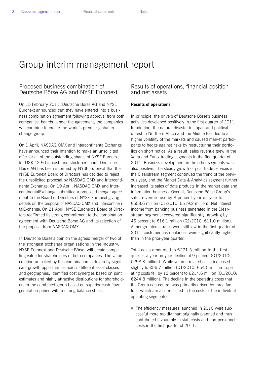## Group interim management report

## Proposed business combination of Deutsche Börse AG and NYSE Euronext

On 15 February 2011, Deutsche Börse AG and NYSE Euronext announced that they have entered into a business combination agreement following approval from both companies' boards. Under the agreement, the companies will combine to create the world's premier global exchange group.

On 1 April, NASDAQ OMX and IntercontinentalExchange have announced their intention to make an unsolicited offer for all of the outstanding shares of NYSE Euronext for US\$ 42.50 in cash and stock per share. Deutsche Börse AG has been informed by NYSE Euronext that the NYSE Euronext Board of Directors has decided to reject the unsolicited proposal by NASDAQ OMX and IntercontinentalExchange. On 19 April, NASDAQ OMX and IntercontinentalExchange submitted a proposed merger agreement to the Board of Directors of NYSE Euronext giving details on the proposal of NASDAQ OMX and IntercontinentalExchange. On 21 April, NYSE Euronext's Board of Directors reaffirmed its strong commitment to the combination agreement with Deutsche Börse AG and its rejection of the proposal from NASDAQ OMX.

In Deutsche Börse's opinion the agreed merger of two of the strongest exchange organisations in the industry, NYSE Euronext and Deutsche Börse, will create compelling value for shareholders of both companies. The value creation unlocked by this combination is driven by significant growth opportunities across different asset classes and geographies, identified cost synergies based on joint estimates and highly attractive distributions for shareholders in the combined group based on superior cash flow generation paired with a strong balance sheet.

## Results of operations, financial position and net assets

## **Results of operations**

In principle, the drivers of Deutsche Börse's business activities developed positively in the first quarter of 2011. In addition, the natural disaster in Japan and political unrest in Northern Africa and the Middle East led to a higher volatility of the markets and caused market participants to hedge against risks by restructuring their portfolios on short notice. As a result, sales revenue grew in the Xetra and Eurex trading segments in the first quarter of 2011. Business development in the other segments was also positive. The steady growth of post-trade services in the Clearstream segment continued the trend of the previous year, and the Market Data & Analytics segment further increased its sales of data products in the market data and information business. Overall, Deutsche Börse Group's sales revenue rose by 8 percent year-on-year to €558.6 million (Q1/2010: €519.2 million). Net interest income from banking business generated in the Clearstream segment recovered significantly, growing by 46 percent to €16.1 million (Q1/2010: €11.0 million). Although interest rates were still low in the first quarter of 2011, customer cash balances were significantly higher than in the prior-year quarter.

Total costs amounted to €271.3 million in the first quarter, a year-on-year decline of 9 percent (Q1/2010: €298.8 million). While volume-related costs increased slightly to €56.7 million (Q1/2010: €54.0 million), operating costs fell by 12 percent to €214.6 million (Q1/2010: €244.8 million). The decline in the operating costs that the Group can control was primarily driven by three factors, which are also reflected in the costs of the individual operating segments:

■ The efficiency measures launched in 2010 were successful more rapidly than originally planned and thus contributed favourably to staff costs and non-personnel costs in the first quarter of 2011.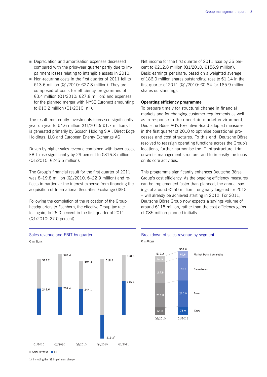- Depreciation and amortisation expenses decreased compared with the prior-year quarter partly due to impairment losses relating to intangible assets in 2010.
- Non-recurring costs in the first quarter of 2011 fell to €13.6 million (Q1/2010: €27.8 million). They are composed of costs for efficiency programmes of €3.4 million (Q1/2010: €27.8 million) and expenses for the planned merger with NYSE Euronext amounting to €10.2 million (Q1/2010: nil).

The result from equity investments increased significantly year-on-year to €4.6 million (Q1/2010: €1.7 million). It is generated primarily by Scoach Holding S.A., Direct Edge Holdings, LLC and European Energy Exchange AG.

Driven by higher sales revenue combined with lower costs, EBIT rose significantly by 29 percent to €316.3 million (Q1/2010: €245.6 million).

The Group's financial result for the first quarter of 2011 was €–19.8 million (Q1/2010: €–22.9 million) and reflects in particular the interest expense from financing the acquisition of International Securities Exchange (ISE).

Following the completion of the relocation of the Group headquarters to Eschborn, the effective Group tax rate fell again, to 26.0 percent in the first quarter of 2011 (Q1/2010: 27.0 percent).

Net income for the first quarter of 2011 rose by 36 percent to €212.8 million (Q1/2010: €156.9 million). Basic earnings per share, based on a weighted average of 186.0 million shares outstanding, rose to €1.14 in the first quarter of 2011 (Q1/2010: €0.84 for 185.9 million shares outstanding).

#### **Operating efficiency programme**

To prepare timely for structural change in financial markets and for changing customer requirements as well as in response to the uncertain market environment, Deutsche Börse AG's Executive Board adopted measures in the first quarter of 2010 to optimise operational processes and cost structures. To this end, Deutsche Börse resolved to reassign operating functions across the Group's locations, further harmonise the IT infrastructure, trim down its management structure, and to intensify the focus on its core activities.

This programme significantly enhances Deutsche Börse Group's cost efficiency. As the ongoing efficiency measures can be implemented faster than planned, the annual savings of around  $£150$  million – originally targeted for 2013 – will already be achieved starting in 2012. For 2011, Deutsche Börse Group now expects a savings volume of around  $E115$  million, rather than the cost efficiency gains of €85 million planned initially.



1) Including the ISE impairment charge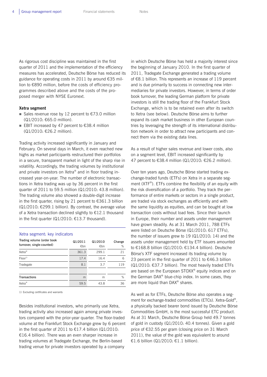As rigorous cost discipline was maintained in the first quarter of 2011 and the implementation of the efficiency measures has accelerated, Deutsche Börse has reduced its guidance for operating costs in 2011 by around €35 million to €890 million, before the costs of efficiency programmes described above and the costs of the proposed merger with NYSE Euronext.

### **Xetra segment**

- Sales revenue rose by 12 percent to  $\epsilon$ 73.0 million (Q1/2010: €65.0 million).
- EBIT increased by 47 percent to  $€38.4$  million (Q1/2010: €26.2 million).

Trading activity increased significantly in January and February. On several days in March, it even reached new highs as market participants restructured their portfolios in a secure, transparent market in light of the sharp rise in volatility. Accordingly, the trading volumes by institutional and private investors on Xetra® and in floor trading increased year-on-year. The number of electronic transactions in Xetra trading was up by 36 percent in the first quarter of 2011 to 59.5 million (Q1/2010: 43.8 million). The trading volume also showed a double-digit increase in the first quarter, rising by 21 percent to €361.3 billion  $(Q1/2010: \text{E299.1}$  billion). By contrast, the average value of a Xetra transaction declined slightly to €12.1 thousand in the first quarter ( $Q1/2010$ : €13.7 thousand).

| Xetra segment: key indicators                           |                |                |             |
|---------------------------------------------------------|----------------|----------------|-------------|
| Trading volume (order book<br>turnover, single-counted) | Q1/2011<br>€bn | Q1/2010<br>€bn | Change<br>% |
| Xetra <sup>®</sup>                                      | 361.3          | 299.1          | 21          |
| $Floor^{1)}$                                            | 17.4           | 16.4           | 6           |
| Tradegate                                               | 8.1            | 3.7            | 119         |
| <b>Transactions</b>                                     | m              | m              | %           |
| Xetra <sup>®</sup>                                      | 59.5           | 43.8           | 36          |

1) Excluding certificates and warrants

Besides institutional investors, who primarily use Xetra, trading activity also increased again among private investors compared with the prior-year quarter. The floor-traded volume at the Frankfurt Stock Exchange grew by 6 percent in the first quarter of 2011 to €17.4 billion (Q1/2010: €16.4 billion). There was an even sharper increase in trading volumes at Tradegate Exchange, the Berlin-based trading venue for private investors operated by a company

in which Deutsche Börse has held a majority interest since the beginning of January 2010. In the first quarter of 2011, Tradegate Exchange generated a trading volume of €8.1 billion. This represents an increase of 119 percent and is due primarily to success in connecting new intermediaries for private investors. However, in terms of order book turnover, the leading German platform for private investors is still the trading floor of the Frankfurt Stock Exchange, which is to be retained even after its switch to Xetra (see below). Deutsche Börse aims to further expand its cash market business in other European countries by leveraging the strength of its international distribution network in order to attract new participants and connect them via the existing data lines.

As a result of higher sales revenue and lower costs, also on a segment level, EBIT increased significantly by 47 percent to €38.4 million (Q1/2010: €26.2 million).

Over ten years ago, Deutsche Börse started trading exchange-traded funds (ETFs) on Xetra in a separate segment (XTF®). ETFs combine the flexibility of an equity with the risk diversification of a portfolio. They track the performance of entire markets or sectors in a single product, are traded via stock exchanges as efficiently and with the same liquidity as equities, and can be bought at low transaction costs without load fees. Since their launch in Europe, their number and assets under management have grown steadily. As at 31 March 2011, 788 ETFs were listed on Deutsche Börse (Q1/2010: 617 ETFs), the number of issuers grew to 19 (Q1/2010: 14) and the assets under management held by ETF issuers amounted to €168.8 billion (Q1/2010: €134.4 billion). Deutsche Börse's XTF segment increased its trading volume by 23 percent in the first quarter of 2011 to €46.3 billion (Q1/2010: €37.7 billion). The most heavily traded ETFs are based on the European STOXX® equity indices and on the German DAX® blue-chip index. In some cases, they are more liquid than DAX® shares.

As well as for ETFs, Deutsche Börse also operates a segment for exchange-traded commodities (ETCs). Xetra-Gold®, a physically backed bearer bond issued by Deutsche Börse Commodities GmbH, is the most successful ETC product. As at 31 March, Deutsche Börse Group held 49.7 tonnes of gold in custody (Q1/2010: 40.4 tonnes). Given a gold price of €32.55 per gram (closing price on 31 March 2011), the value of the gold was equivalent to around €1.6 billion (Q1/2010: €1.1 billion).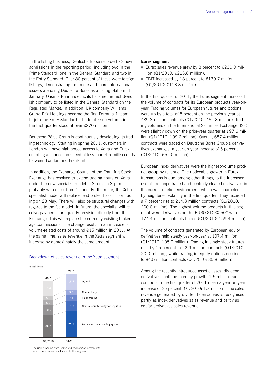In the listing business, Deutsche Börse recorded 72 new admissions in the reporting period, including two in the Prime Standard, one in the General Standard and two in the Entry Standard. Over 80 percent of these were foreign listings, demonstrating that more and more international issuers are using Deutsche Börse as a listing platform. In January, Oasmia Pharmaceuticals became the first Swedish company to be listed in the General Standard on the Regulated Market. In addition, UK company Williams Grand Prix Holdings became the first Formula 1 team to join the Entry Standard. The total issue volume in the first quarter stood at over €270 million.

Deutsche Börse Group is continuously developing its trading technology. Starting in spring 2011, customers in London will have high-speed access to Xetra and Eurex, enabling a connection speed of less than 4.5 milliseconds between London und Frankfurt.

In addition, the Exchange Council of the Frankfurt Stock Exchange has resolved to extend trading hours on Xetra under the new specialist model to 8 a.m. to 8 p.m., probably with effect from 1 June. Furthermore, the Xetra specialist model will replace lead broker-based floor trading on 23 May. There will also be structural changes with regards to the fee model. In future, the specialist will receive payments for liquidity provision directly from the Exchange. This will replace the currently existing brokerage commissions. The change results in an increase of volume-related costs of around €15 million in 2011. At the same time, sales revenue in the Xetra segment will increase by approximately the same amount.

## € millions 73.0  $650$  $Other<sup>1</sup>$ Connectivity Floor trading  $11.8$ Central counterparty for equities 29.7 Xetra electronic trading system  $25.7$  $01/2010$ Q1/2011

#### Breakdown of sales revenue in the Xetra segment

#### **Eurex segment**

- Eurex sales revenue grew by 8 percent to  $\epsilon$ 230.0 million (Q1/2010: €213.8 million).
- EBIT increased by 18 percent to  $£139.7$  million (Q1/2010: €118.8 million).

In the first quarter of 2011, the Eurex segment increased the volume of contracts for its European products year-onyear. Trading volumes for European futures and options were up by a total of 8 percent on the previous year at 489.8 million contracts (Q1/2010: 452.8 million). Trading volumes on the International Securities Exchange (ISE) were slightly down on the prior-year quarter at 197.6 million (Q1/2010: 199.2 million). Overall, 687.4 million contracts were traded on Deutsche Börse Group's derivatives exchanges, a year-on-year increase of 5 percent (Q1/2010: 652.0 million).

European index derivatives were the highest-volume product group by revenue. The noticeable growth in Eurex transactions is due, among other things, to the increased use of exchange-traded and centrally cleared derivatives in the current market environment, which was characterised by heightened volatility in the first quarter. They recorded a 7 percent rise to 214.8 million contracts (Q1/2010: 200.0 million). The highest-volume products in this segment were derivatives on the EURO STOXX 50® with 174.4 million contracts traded (Q1/2010: 159.4 million).

The volume of contracts generated by European equity derivatives held steady year-on-year at 107.4 million (Q1/2010: 105.9 million). Trading in single-stock futures rose by 15 percent to 22.9 million contracts (Q1/2010: 20.0 million), while trading in equity options declined to 84.5 million contracts (Q1/2010: 85.8 million).

Among the recently introduced asset classes, dividend derivatives continue to enjoy growth: 1.5 million traded contracts in the first quarter of 2011 mean a year-on-year increase of 25 percent (Q1/2010: 1.2 million). The sales revenue generated by dividend derivatives is recognised partly as index derivatives sales revenue and partly as equity derivatives sales revenue.

1) Including income from listing and cooperation agreements and IT sales revenue allocated to the segment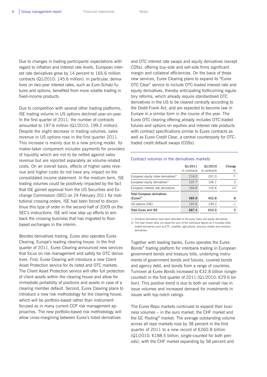Due to changes in trading participants' expectations with regard to inflation and interest rate levels, European interest rate derivatives grew by 14 percent to 165.6 million contracts (Q1/2010: 145.6 million). In particular, derivatives on two-year interest rates, such as Euro-Schatz futures and options, benefited from more volatile trading in fixed-income products.

Due to competition with several other trading platforms, ISE trading volume in US options declined year-on-year. In the first quarter of 2011, the number of contracts amounted to 197.6 million (Q1/2010: 199.2 million). Despite the slight decrease in trading volumes, sales revenue in US options rose in the first quarter 2011. This increase is mainly due to a new pricing model. Its maker-taker component includes payments for providers of liquidity which are not to be netted against sales revenue but are reported separately as volume-related costs. On an overall basis, effects of higher sales revenue and higher costs do not have any impact on the consolidated income statement. In the medium term, ISE trading volumes could be positively impacted by the fact that ISE gained approval from the US Securities and Exchange Commission (SEC) on 24 February 2011 for institutional crossing orders. ISE had been forced to discontinue this type of order in the second half of 2009 on the SEC's instructions. ISE will now step up efforts to win back the crossing business that has migrated to floorbased exchanges in the interim.

Besides derivatives trading, Eurex also operates Eurex Clearing, Europe's leading clearing house. In the first quarter of 2011, Eurex Clearing announced new services that focus on risk management and safety for OTC derivatives. First, Eurex Clearing will introduce a new Client Asset Protection service for its listed and OTC markets. The Client Asset Protection service will offer full protection of client assets within the clearing house and allow for immediate portability of positions and assets in case of a clearing member default. Second, Eurex Clearing plans to introduce a new risk methodology for the clearing house, which will be portfolio-based rather than instrumentfocused as in many current CCP risk management approaches. The new portfolio-based risk methodology will allow cross-margining between Eurex's listed derivatives

and OTC interest rate swaps and equity derivatives (except CDSs), offering buy-side and sell-side firms significant margin and collateral efficiencies. On the basis of these new services, Eurex Clearing plans to expand its "Eurex OTC Clear" service to include OTC-traded interest rate and equity derivatives, thereby anticipating forthcoming regulatory reforms, which already require standardised OTC derivatives in the US to be cleared centrally according to the Dodd-Frank Act, and are expected to become law in Europe in a similar form in the course of the year. The Eurex OTC clearing offering already includes OTC-traded futures and options on equities and interest rate products with contract specifications similar to Eurex contracts as well as Eurex Credit Clear, a central counterparty for OTCtraded credit default swaps (CDSs).

### Contract volumes in the derivatives markets

|                                                    | Q1/2011<br>m contracts | Q1/2010<br>m contracts | Change<br>$\%$ |
|----------------------------------------------------|------------------------|------------------------|----------------|
| European equity index derivatives <sup>1)</sup>    | 216.0                  | 201.0                  |                |
| European equity derivatives <sup>1)</sup>          | 107.7                  | 106.1                  | 2              |
| European interest rate derivatives                 | 165.6                  | 145.6                  | 14             |
| <b>Total European derivatives</b><br>$(Eures)^{2}$ | 489.8                  | 452.8                  | 8              |
| US options (ISE)                                   | 197.6                  | 199.2                  | -1             |
| <b>Total Eurex and ISE</b>                         | 687.4                  | 652.0                  | 5              |

1) Dividend derivatives have been allocated to the euity index and equity derivatives. 2) The total shown does not equal the sum of the individual figures as it includes other traded derivatives such as ETF, volatility, agricultural, precious metals and emission derivatives.

Together with leading banks, Eurex operates the Eurex Bonds® trading platform for interbank trading in European government bonds and treasury bills, underlying instruments of government bonds and futures, covered bonds and agency debt, and bonds from a range of countries. Turnover at Eurex Bonds increased to €32.8 billion (singlecounted) in the first quarter of 2011 (Q1/2010: €29.6 billion). This positive trend is due to both an overall rise in issue volumes and increased demand for investments in issues with top-notch ratings.

The Eurex Repo markets continued to expand their business volumes – in the euro market, the CHF market and the GC Pooling® market. The average outstanding volume across all repo markets rose by 38 percent in the first quarter of 2011 to a new record of €260.8 billion (Q1/2010: €188.5 billion, single-counted for both periods), with the CHF market expanding by 58 percent and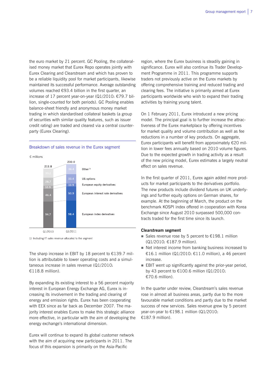the euro market by 21 percent. GC Pooling, the collateralised money market that Eurex Repo operates jointly with Eurex Clearing and Clearstream and which has proven to be a reliable liquidity pool for market participants, likewise maintained its successful performance. Average outstanding volumes reached €93.4 billion in the first quarter, an increase of 17 percent year-on-year (Q1/2010: €79.7 billion, single-counted for both periods). GC Pooling enables balance-sheet friendly and anonymous money market trading in which standardised collateral baskets (a group of securities with similar quality features, such as issuer credit rating) are traded and cleared via a central counterparty (Eurex Clearing).

### Breakdown of sales revenue in the Eurex segment



1) Including IT sales revenue allocated to the segment

The sharp increase in EBIT by 18 percent to  $£139.7$  million is attributable to lower operating costs and a simultaneous increase in sales revenue (Q1/2010: €118.8 million).

By expanding its existing interest to a 56 percent majority interest in European Energy Exchange AG, Eurex is increasing its involvement in the trading and clearing of energy and emission rights. Eurex has been cooperating with EEX since as far back as December 2007. The majority interest enables Eurex to make this strategic alliance more effective, in particular with the aim of developing the energy exchange's international dimension.

Eurex will continue to expand its global customer network with the aim of acquiring new participants in 2011. The focus of this expansion is primarily on the Asia-Pacific

region, where the Eurex business is steadily gaining in significance. Eurex will also continue its Trader Development Programme in 2011. This programme supports traders not previously active on the Eurex markets by offering comprehensive training and reduced trading and clearing fees. The initiative is primarily aimed at Eurex participants worldwide who wish to expand their trading activities by training young talent.

On 1 February 2011, Eurex introduced a new pricing model. The principal goal is to further increase the attractiveness of the Eurex marketplace by offering incentives for market quality and volume contribution as well as fee reductions in a number of key products. On aggregate, Eurex participants will benefit from approximately €20 million in lower fees annually based on 2010 volume figures. Due to the expected growth in trading activity as a result of the new pricing model, Eurex estimates a largely neutral effect on sales revenue.

In the first quarter of 2011, Eurex again added more products for market participants to the derivatives portfolio. The new products include dividend futures on UK underlyings and further equity options on German shares, for example. At the beginning of March, the product on the benchmark KOSPI index offered in cooperation with Korea Exchange since August 2010 surpassed 500,000 contracts traded for the first time since its launch.

## **Clearstream segment**

- Sales revenue rose by 5 percent to  $£198.1$  million (Q1/2010: €187.9 million).
- Net interest income from banking business increased to €16.1 million (Q1/2010: €11.0 million), a 46 percent increase.
- EBIT went up significantly against the prior-year period, by 43 percent to  $£100.6$  million (Q1/2010: €70.6 million).

In the quarter under review, Clearstream's sales revenue rose in almost all business areas, partly due to the more favourable market conditions and partly due to the market success of new services. Sales revenue grew by 5 percent year-on-year to €198.1 million (Q1/2010: €187.9 million).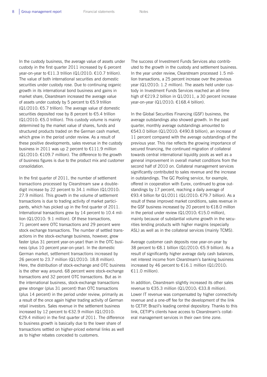In the custody business, the average value of assets under custody in the first quarter 2011 increased by 6 percent year-on-year to €11.3 trillion (Q1/2010: €10.7 trillion). The value of both international securities and domestic securities under custody rose. Due to continuing organic growth in its international bond business and gains in market share, Clearstream increased the average value of assets under custody by 5 percent to €5.9 trillion (Q1/2010: €5.7 trillion). The average value of domestic securities deposited rose by 8 percent to €5.4 trillion (Q1/2010: €5.0 trillion). This custody volume is mainly determined by the market value of shares, funds and structured products traded on the German cash market, which grew in the period under review. As a result of these positive developments, sales revenue in the custody business in 2011 was up 2 percent to €111.9 million  $(Q1/2010: \text{£}109.7$  million). The difference to the growth of business figures is due to the product mix and customer consolidation.

In the first quarter of 2011, the number of settlement transactions processed by Clearstream saw a doubledigit increase by 22 percent to 34.1 million (Q1/2010: 27.9 million). This growth in the volume of settlement transactions is due to trading activity of market participants, which has picked up in the first quarter of 2011. International transactions grew by 14 percent to 10.4 million (Q1/2010: 9.1 million). Of these transactions, 71 percent were OTC transactions and 29 percent were stock exchange transactions. The number of settled transactions in the stock-exchange business, however, grew faster (plus 31 percent year-on-year) than in the OTC business (plus 10 percent year-on-year). In the domestic German market, settlement transactions increased by 26 percent to 23.7 million (Q1/2010: 18.8 million). Here, the distribution of stock-exchange and OTC business is the other way around: 68 percent were stock-exchange transactions and 32 percent OTC transactions. But as in the international business, stock-exchange transactions grew stronger (plus 31 percent) than OTC transactions (plus 14 percent) in the period under review, primarily as a result of the once again higher trading activity of German retail investors. Sales revenue in the settlement business increased by 12 percent to €32.9 million (Q1/2010: €29.4 million) in the first quarter of 2011. The difference to business growth is basically due to the lower share of transactions settled on higher-priced external links as well as to higher rebates conceded to customers.

The success of Investment Funds Services also contributed to the growth in the custody and settlement business. In the year under review, Clearstream processed 1.5 million transactions, a 25 percent increase over the previous year (Q1/2010: 1.2 million). The assets held under custody in Investment Funds Services reached an all-time high of €219.2 billion in Q1/2011, a 30 percent increase year-on-year (Q1/2010: €168.4 billion).

In the Global Securities Financing (GSF) business, the average outstandings also showed growth. In the past quarter, monthly average outstandings amounted to €543.0 billion (Q1/2010: €490.8 billion), an increase of 11 percent compared with the average outstandings of the previous year. This rise reflects the growing importance of secured financing, the continued migration of collateral towards central international liquidity pools as well as a general improvement in overall market conditions from the second half of 2010 on. Collateral management services significantly contributed to sales revenue and the increase in outstandings. The GC Pooling service, for example, offered in cooperation with Eurex, continued to grow outstandings by 17 percent, reaching a daily average of €93.4 billion for Q1/2011 (Q1/2010: €79.7 billion). As a result of these improved market conditions, sales revenue in the GSF business increased by 20 percent to  $£18.0$  million in the period under review (Q1/2010: €15.0 million), mainly because of substantial volume growth in the securities lending products with higher margins (especially ASL) as well as in the collateral services (mainly TCMS).

Average customer cash deposits rose year-on-year by 38 percent to €8.1 billion (Q1/2010: €5.9 billion). As a result of significantly higher average daily cash balances, net interest income from Clearstream's banking business increased by 46 percent to €16.1 million (Q1/2010: €11.0 million).

In addition, Clearstream slightly increased its other sales revenue to €35.3 million (Q1/2010: €33.8 million). Lower IT revenue was compensated by higher connectivity revenue and a one-off fee for the development of the link to CETIP, Brazil's leading central depository. Thanks to this link, CETIP's clients have access to Clearstream's collateral management services in their own time zone.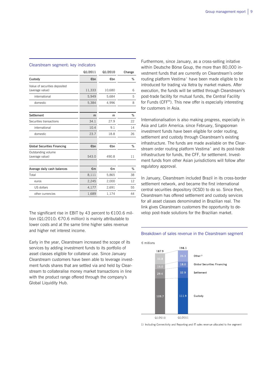#### Clearstream segment: key indicators

|                                                  | Q1/2011 | Q1/2010 | Change |
|--------------------------------------------------|---------|---------|--------|
| Custody                                          | €bn     | €bn     | %      |
| Value of securities deposited<br>(average value) | 11,333  | 10,680  | 6      |
| international                                    | 5,949   | 5,684   | 5      |
| domestic                                         | 5,384   | 4,996   | 8      |
| Settlement                                       | m       | m       | %      |
| Securities transactions                          | 34.1    | 27.9    | 22     |
| international                                    | 10.4    | 9.1     | 14     |
| domestic                                         | 23.7    | 18.8    | 26     |
|                                                  |         |         |        |
| <b>Global Securities Financing</b>               | €bn     | €bn     | %      |
| Outstanding volume<br>(average value)            | 543.0   | 490.8   | 11     |
|                                                  |         |         |        |
| Average daily cash balances                      | €m      | €m      | %      |
| Total                                            | 8,111   | 5,865   | 38     |
| euros                                            | 2,245   | 2,000   | 12     |
| US dollars                                       | 4,177   | 2,691   | 55     |
| other currencies                                 | 1,689   | 1,174   | 44     |

The significant rise in EBIT by 43 percent to €100.6 million (Q1/2010: €70.6 million) is mainly attributable to lower costs and at the same time higher sales revenue and higher net interest income.

Early in the year, Clearstream increased the scope of its services by adding investment funds to its portfolio of asset classes eligible for collateral use. Since January Clearstream customers have been able to leverage investment funds shares that are settled via and held by Clearstream to collateralise money market transactions in line with the product range offered through the company's Global Liquidity Hub.

Furthermore, since January, as a cross-selling initative within Deutsche Börse Goup, the more than 80,000 investment funds that are currently on Clearstream's order routing platform Vestima<sup>+</sup> have been made eligible to be introduced for trading via Xetra by market makers. After execution, the funds will be settled through Clearstream's post-trade facility for mutual funds, the Central Facility for Funds (CFF®). This new offer is especially interesting for customers in Asia.

Internationalisation is also making progress, especially in Asia and Latin America: since February, Singaporean investment funds have been eligible for order routing, settlement and custody through Clearstream's existing infrastructure. The funds are made available on the Clearstream order routing platform Vestima<sup>+</sup> and its post-trade infrastructure for funds, the CFF, for settlement. Investment funds from other Asian jurisdictions will follow after regulatory approval.

In January, Clearstream included Brazil in its cross-border settlement network, and became the first international central securities depository (ICSD) to do so. Since then, Clearstream has offered settlement and custody services for all asset classes denominated in Brazilian real. The link gives Clearstream customers the opportunity to develop post-trade solutions for the Brazilian market.



Breakdown of sales revenue in the Clearstream segment

1) Including Connectivity and Reporting and IT sales revenue allocated to the segment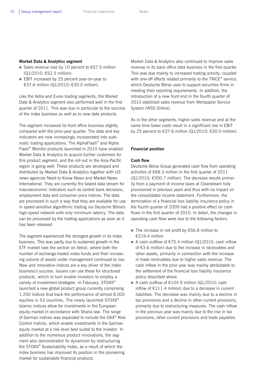### **Market Data & Analytics segment**

- Sales revenue rose by 10 percent to  $\epsilon$ 57.5 million (Q1/2010: €52.5 million).
- EBIT increased by 25 percent year-on-year to €37.6 million (Q1/2010: €30.0 million).

Like the Xetra and Eurex trading segments, the Market Data & Analytics segment also performed well in the first quarter of 2011. This was due in particular to the success of the index business as well as to new data products.

The segment increased its front office business slightly compared with the prior-year quarter. The data and key indicators are now increasingly incorporated into automatic trading applications. The AlphaFlash® and Alpha Flash® Monitor products launched in 2010 have enabled Market Data & Analytics to acquire further customers for this product segment, and the roll-out in the Asia-Pacific region is going well. These products are developed and distributed by Market Data & Analytics together with US news agencies Need to Know News and Market News International. They are currently the fastest data stream for macroeconomic indicators such as central bank decisions, employment data and consumer price indices. The data are processed in such a way that they are available for use in speed-sensitive algorithmic trading via Deutsche Börse's high-speed network with only minimum latency. The data can be processed by the trading applications as soon as it has been released.

The segment experienced the strongest growth in its index business. This was partly due to sustained growth in the ETF market (see the section on Xetra), where both the number of exchange-traded index funds and their increasing volume of assets under management continued to rise. New and innovative indices are a key driver of the index business's success. Issuers can use these for structured products, which in turn enable investors to employ a variety of investment strategies. In February, STOXX® launched a new global product group currently comprising 1,200 indices that track the performance of almost 8,000 equities in 53 countries. The newly launched STOXX® Islamic Indices allow for investments in the European equity market in accordance with Sharia law. The range of German indices was expanded to include the DAX® Risk Control Indices, which enable investments in the German equity market at a risk level best suited to the investor. In addition to the numerous product innovations, the segment also demonstrated its dynamism by restructuring the STOXX® Sustainability Index, as a result of which the index business has improved its position in the pioneering market for sustainable financial products.

Market Data & Analytics also continued to improve sales revenue in its back office data business in the first quarter. This was due mainly to increased trading activity, coupled with one-off effects related primarily to the TRICE<sup>®</sup> service, which Deutsche Börse uses to support securities firms in meeting their reporting requirements. In addition, the introduction of a new front end in the fourth quarter of 2010 stabilised sales revenue from Wertpapier Service System (WSS Online).

As in the other segments, higher sales revenue and at the same time lower costs result in a significant rise in EBIT by 25 percent to €37.6 million (Q1/2010: €30.0 million).

#### **Financial position**

#### **Cash flow**

Deutsche Börse Group generated cash flow from operating activities of €68.3 million in the first quarter of 2011 (Q1/2010: €300.7 million). The decrease results primarily from a payment of income taxes at Clearstream fully provisioned in previous years and thus with no impact on the consolidated income statement. Furthermore, the termination of a financial loss liability insurance policy in the fourth quarter of 2009 had a positive effect on cash flows in the first quarter of 2010. In detail, the changes in operating cash flow were due to the following factors:

- The increase in net profit by  $€56.8$  million to €219.4 million
- A cash outflow of  $\epsilon$ 75.4 million (Q1/2010: cash inflow of €3.6 million) due to the increase in receivables and other assets, primarily in connection with the increase in trade receivables due to higher sales revenue. The cash inflow in the prior year was mainly attributable to the settlement of the financial loss liability insurance policy described above.
- A cash outflow of  $£104.9$  million (Q1/2010: cash inflow of €111.4 million) due to a decrease in current liabilities. The decrease was mainly due to a decline in tax provisions and a decline in other current provisions, primarily due to restructuring measures. The cash inflow in the previous year was mainly due to the rise in tax provisions, other current provisions and trade payables.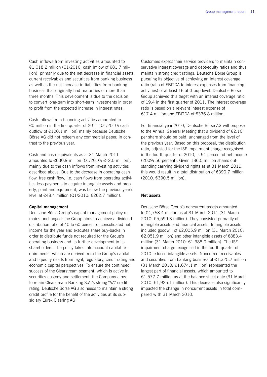Cash inflows from investing activities amounted to €1,018.2 million (Q1/2010: cash inflow of €81.7 million), primarily due to the net decrease in financial assets, current receivables and securities from banking business as well as the net increase in liabilities from banking business that originally had maturities of more than three months. This development is due to the decision to convert long-term into short-term investments in order to profit from the expected increase in interest rates.

Cash inflows from financing activities amounted to €0 million in the first quarter of 2011 (Q1/2010: cash outflow of €100.1 million) mainly because Deutsche Börse AG did not redeem any commercial paper, in contrast to the previous year.

Cash and cash equivalents as at 31 March 2011 amounted to €630.9 million (Q1/2010:  $€-2.0$  million), mainly due to the cash inflows from investing activities described above. Due to the decrease in operating cash flow, free cash flow, i.e. cash flows from operating activities less payments to acquire intangible assets and property, plant and equipment, was below the previous year's level at €48.4 million (Q1/2010: €262.7 million).

#### **Capital management**

Deutsche Börse Group's capital management policy remains unchanged: the Group aims to achieve a dividend distribution ratio of 40 to 60 percent of consolidated net income for the year and executes share buy-backs in order to distribute funds not required for the Group's operating business and its further development to its shareholders. The policy takes into account capital requirements, which are derived from the Group's capital and liquidity needs from legal, regulatory, credit rating and economic capital perspectives. To ensure the continued success of the Clearstream segment, which is active in securities custody and settlement, the Company aims to retain Clearstream Banking S.A.'s strong "AA" credit rating. Deutsche Börse AG also needs to maintain a strong credit profile for the benefit of the activities at its subsidiary Eurex Clearing AG.

Customers expect their service providers to maintain conservative interest coverage and debt/equity ratios and thus maintain strong credit ratings. Deutsche Börse Group is pursuing its objective of achieving an interest coverage ratio (ratio of EBITDA to interest expenses from financing activities) of at least 16 at Group level. Deutsche Börse Group achieved this target with an interest coverage ratio of 19.4 in the first quarter of 2011. The interest coverage ratio is based on a relevant interest expense of €17.4 million and EBITDA of €336.8 million.

For financial year 2010, Deutsche Börse AG will propose to the Annual General Meeting that a dividend of €2.10 per share should be paid, unchanged from the level of the previous year. Based on this proposal, the distribution ratio, adjusted for the ISE impairment charge recognised in the fourth quarter of 2010, is 54 percent of net income (2009: 56 percent). Given 186.0 million shares outstanding carrying dividend rights as at 31 March 2011, this would result in a total distribution of €390.7 million (2010: €390.5 million).

#### **Net assets**

Deutsche Börse Group's noncurrent assets amounted to €4,758.4 million as at 31 March 2011 (31 March 2010: €5,599.3 million). They consisted primarily of intangible assets and financial assets. Intangible assets included goodwill of €2,005.9 million (31 March 2010: €2,051.9 million) and other intangible assets of €883.4 million (31 March 2010: €1,388.0 million). The ISE impairment charge recognised in the fourth quarter of 2010 reduced intangible assets. Noncurrent receivables and securities from banking business of  $E1,325.7$  million (31 March 2010:  $£1,674.1$  million) represented the largest part of financial assets, which amounted to €1,577.7 million as at the balance sheet date (31 March 2010: €1,925.1 million). This decrease also significantly impacted the change in noncurrent assets in total compared with 31 March 2010.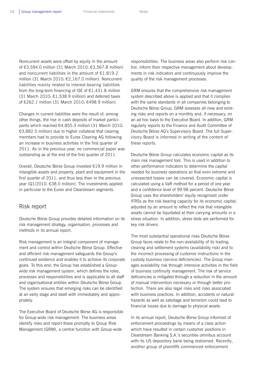Noncurrent assets were offset by equity in the amount of €3,594.0 million (31 March 2010: €3,567.8 million) and noncurrent liabilities in the amount of €1,819.2 million (31 March 2010: €2,167.0 million). Noncurrent liabilities mainly related to interest-bearing liabilities from the long-term financing of ISE of  $E1,431.8$  million (31 March 2010: €1,538.9 million) and deferred taxes of €262.1 million (31 March 2010: €498.9 million).

Changes in current liabilities were the result of, among other things, the rise in cash deposits of market participants which reached €4,855.3 million (31 March 2010: €3,882.5 million) due to higher collateral that clearing members had to provide to Eurex Clearing AG following an increase in business activities in the first quarter of 2011. As in the previous year, no commercial paper was outstanding as at the end of the first quarter of 2011.

Overall, Deutsche Börse Group invested €19.9 million in intangible assets and property, plant and equipment in the first quarter of 2011, and thus less than in the previous year (Q1/2010: €38.0 million). The investments applied in particular to the Eurex and Clearstream segments.

## Risk report

Deutsche Börse Group provides detailed information on its risk management strategy, organisation, processes and methods in its annual report.

Risk management is an integral component of management and control within Deutsche Börse Group. Effective and efficient risk management safeguards the Group's continued existence and enables it to achieve its corporate goals. To this end, the Group has established a Groupwide risk management system, which defines the roles, processes and responsibilities and is applicable to all staff and organisational entities within Deutsche Börse Group. The system ensures that emerging risks can be identified at an early stage and dealt with immediately and appropriately.

The Executive Board of Deutsche Börse AG is responsible for Group-wide risk management. The business areas identify risks and report these promptly to Group Risk Management (GRM), a central function with Group-wide

responsibilities. The business areas also perform risk control, inform their respective management about developments in risk indicators and continuously improve the quality of the risk management processes.

GRM ensures that the comprehensive risk management system described above is applied and that it complies with the same standards in all companies belonging to Deutsche Börse Group. GRM assesses all new and existing risks and reports on a monthly and, if necessary, on an ad hoc basis to the Executive Board. In addition, GRM regularly reports to the Finance and Audit Committee of Deutsche Börse AG's Supervisory Board. The full Supervisory Board is informed in writing of the content of these reports.

Deutsche Börse Group calculates economic capital as its main risk management tool. This is used in addition to other performance indicators to determine the capital needed for business operations so that even extreme and unexpected losses can be covered. Economic capital is calculated using a VaR method for a period of one year and a confidence level of 99.98 percent. Deutsche Börse Group uses the shareholders' equity recognised under IFRSs as the risk bearing capacity for its economic capital, adjusted by an amount to reflect the risk that intangible assets cannot be liquidated at their carrying amounts in a stress situation. In addition, stress tests are performed for key risk drivers.

The most substantial operational risks Deutsche Börse Group faces relate to the non-availability of its trading, clearing and settlement systems (availability risk) and to the incorrect processing of customer instructions in the custody business (service deficiencies). The Group manages availability risk through intensive activities in the field of business continuity management. The risk of service deficiencies is mitigated through a reduction in the amount of manual intervention necessary or through better protection. There are also legal risks and risks associated with business practices. In addition, accidents or natural hazards as well as sabotage and terrorism could lead to financial losses due to damage to physical assets.

In its annual report, Deutsche Börse Group informed of enforcement proceedings by means of a class action which have resulted in certain customer positions in Clearstream Banking S.A.'s securities omnibus account with its US depository bank being restrained. Recently, another group of plaintiffs commenced enforcement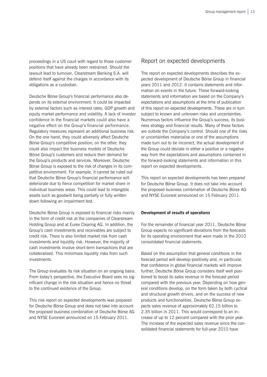proceedings in a US court with regard to those customer positions that have already been restrained. Should the lawsuit lead to turnover, Clearstream Banking S.A. will defend itself against the charges in accordance with its obligations as a custodian.

Deutsche Börse Group's financial performance also depends on its external environment. It could be impacted by external factors such as interest rates, GDP growth and equity market performance and volatility. A lack of investor confidence in the financial markets could also have a negative effect on the Group's financial performance. Regulatory measures represent an additional business risk. On the one hand, they could adversely affect Deutsche Börse Group's competitive position; on the other, they could also impact the business models of Deutsche Börse Group's customers and reduce their demand for the Group's products and services. Moreover, Deutsche Börse Group is exposed to the risk of changes in its competitive environment. For example, it cannot be ruled out that Deutsche Börse Group's financial performance will deteriorate due to fierce competition for market share in individual business areas. This could lead to intangible assets such as goodwill being partially or fully written down following an impairment test.

Deutsche Börse Group is exposed to financial risks mainly in the form of credit risk at the companies of Clearstream Holding Group and at Eurex Clearing AG. In addition, the Group's cash investments and receivables are subject to credit risk. There is also limited market risk from cash investments and liquidity risk. However, the majority of cash investments involve short-term transactions that are collateralised. This minimises liquidity risks from such investments.

The Group evaluates its risk situation on an ongoing basis. From today's perspective, the Executive Board sees no significant change in the risk situation and hence no threat to the continued existence of the Group.

This risk report on expected developments was prepared for Deutsche Börse Group and does not take into account the proposed business combination of Deutsche Börse AG and NYSE Euronext announced on 15 February 2011.

## Report on expected developments

The report on expected developments describes the expected development of Deutsche Börse Group in financial years 2011 and 2012. It contains statements and information on events in the future. These forward-looking statements and information are based on the Company's expectations and assumptions at the time of publication of this report on expected developments. These are in turn subject to known and unknown risks and uncertainties. Numerous factors influence the Group's success, its business strategy and financial results. Many of these factors are outside the Company's control. Should one of the risks or uncertainties materialise or one of the assumptions made turn out to be incorrect, the actual development of the Group could deviate in either a positive or a negative way from the expectations and assumptions contained in the forward-looking statements and information in this report on expected developments.

This report on expected developments has been prepared for Deutsche Börse Group. It does not take into account the proposed business combination of Deutsche Börse AG and NYSE Euronext announced on 15 February 2011.

## **Development of results of operations**

For the remainder of financial year 2011, Deutsche Börse Group expects no significant deviations from the forecasts for its operating environment that were made in the 2010 consolidated financial statements.

Based on the assumption that general conditions in the forecast period will develop positively and, in particular, that confidence in global financial markets will improve further, Deutsche Börse Group considers itself well positioned to boost its sales revenue in the forecast period compared with the previous year. Depending on how general conditions develop, on the form taken by both cyclical and structural growth drivers, and on the success of new products and functionalities, Deutsche Börse Group expects sales revenue of approximately €2.15 billion to 2.35 billion in 2011. This would correspond to an increase of up to 12 percent compared with the prior year. The increase of the expected sales revenue since the consolidated financial statements for full-year 2010 have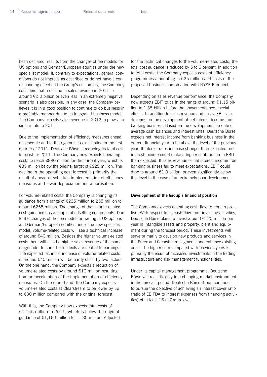been declared, results from the changes of fee models for US options and German/European equities under the new specialist model. If, contrary to expectations, general conditions do not improve as described or do not have a corresponding effect on the Group's customers, the Company considers that a decline in sales revenue in 2011 to around €2.0 billion or even less in an extremely negative scenario is also possible. In any case, the Company believes it is in a good position to continue to do business in a profitable manner due to its integrated business model. The Company expects sales revenue in 2012 to grow at a similar rate to 2011.

Due to the implementation of efficiency measures ahead of schedule and to the rigorous cost discipline in the first quarter of 2011, Deutsche Börse is reducing its total cost forecast for 2011. The Company now expects operating costs to reach €890 million for the current year, which is €35 million below the original target of €925 million. The decline in the operating cost forecast is primarily the result of ahead-of-schedule implementation of efficiency measures and lower depreciation and amortisation.

For volume-related costs, the Company is changing its guidance from a range of €235 million to 255 million to around €255 million. The change of the volume-related cost guidance has a couple of offsetting components. Due to the changes of the fee model for trading of US options and German/European equities under the new specialist model, volume-related costs will see a technical increase of around €40 million. Besides the higher volume-related costs there will also be higher sales revenue of the same magnitude. In sum, both effects are neutral to earnings. The expected technical increase of volume-related costs of around €40 million will be partly offset by two factors. On the one hand, the Company expects a reduction of volume-related costs by around €10 million resulting from an acceleration of the implementation of efficiency measures. On the other hand, the Company expects volume-related costs at Clearstream to be lower by up to €30 million compared with the original forecast.

With this, the Company now expects total costs of €1,145 million in 2011, which is below the original guidance of €1,160 million to 1,180 million. Adjusted for the technical changes to the volume-related costs, the total cost guidance is reduced by 5 to 6 percent. In addition to total costs, the Company expects costs of efficiency programmes amounting to €25 million and costs of the proposed business combination with NYSE Euronext.

Depending on sales revenue performance, the Company now expects EBIT to be in the range of around €1.15 billion to 1.35 billion before the abovementioned special effects. In addition to sales revenue and costs, EBIT also depends on the development of net interest income from banking business. Based on the developments to date of average cash balances and interest rates, Deutsche Börse expects net interest income from banking business in the current financial year to be above the level of the previous year. If interest rates increase stronger than expected, net interest income could make a higher contribution to EBIT than expected. If sales revenue or net interest income from banking business fail to meet expectations, EBIT could drop to around €1.0 billion, or even significantly below this level in the case of an extremely poor development.

### **Development of the Group's financial position**

The Company expects operating cash flow to remain positive. With respect to its cash flow from investing activities, Deutsche Börse plans to invest around €120 million per year in intangible assets and property, plant and equipment during the forecast period. These investments will serve primarily to develop new products and services in the Eurex and Clearstream segments and enhance existing ones. The higher sum compared with previous years is primarily the result of increased investments in the trading infrastructure and risk management functionalities.

Under its capital management programme, Deutsche Börse will react flexibly to a changing market environment in the forecast period. Deutsche Börse Group continues to pursue the objective of achieving an interest cover ratio (ratio of EBITDA to interest expenses from financing activities) of at least 16 at Group level.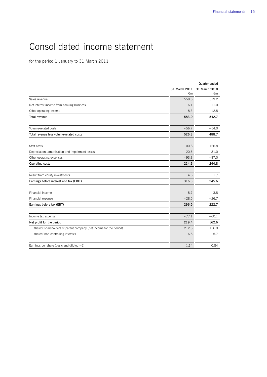## Consolidated income statement

for the period 1 January to 31 March 2011

|                                                                    | 31 March 2011<br>€m | Quarter ended<br>31 March 2010<br>€m |
|--------------------------------------------------------------------|---------------------|--------------------------------------|
| Sales revenue                                                      | 558.6               | 519.2                                |
| Net interest income from banking business                          | 16.1                | 11.0                                 |
| Other operating income                                             | 8.3                 | 12.5                                 |
| <b>Total revenue</b>                                               | 583.0               | 542.7                                |
| Volume-related costs                                               | $-56.7$             | $-54.0$                              |
| Total revenue less volume-related costs                            | 526.3               | 488.7                                |
|                                                                    |                     |                                      |
| Staff costs                                                        | $-100.8$            | $-126.8$                             |
| Depreciation, amortisation and impairment losses                   | $-20.5$             | $-31.0$                              |
| Other operating expenses                                           | $-93.3$             | $-87.0$                              |
| Operating costs                                                    | $-214.6$            | $-244.8$                             |
| Result from equity investments                                     | 4.6                 | 1.7                                  |
| Earnings before interest and tax (EBIT)                            | 316.3               | 245.6                                |
| Financial income                                                   | 8.7                 | 3.8                                  |
| Financial expense                                                  | $-28.5$             | $-26.7$                              |
| Earnings before tax (EBT)                                          | 296.5               | 222.7                                |
| Income tax expense                                                 | $-77.1$             | $-60.1$                              |
|                                                                    |                     |                                      |
| Net profit for the period                                          | 219.4               | 162.6                                |
| thereof shareholders of parent company (net income for the period) | 212.8               | 156.9                                |
| thereof non-controlling interests                                  | 6.6                 | 5.7                                  |
| Earnings per share (basic and diluted) $(\epsilon)$                | 1.14                | 0.84                                 |

 $\overline{a}$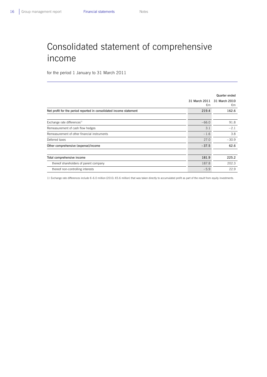## Consolidated statement of comprehensive income

for the period 1 January to 31 March 2011

|                                                                     |                     | Quarter ended       |
|---------------------------------------------------------------------|---------------------|---------------------|
|                                                                     | 31 March 2011<br>€m | 31 March 2010<br>€m |
| Net profit for the period reported in consolidated income statement | 219.4               | 162.6               |
|                                                                     |                     |                     |
| Exchange rate differences <sup>1)</sup>                             | $-66.0$             | 91.8                |
| Remeasurement of cash flow hedges                                   | 3.1                 | $-2.1$              |
| Remeasurement of other financial instruments                        | $-1.6$              | 3.8                 |
| Deferred taxes                                                      | 27.0                | $-30.9$             |
| Other comprehensive (expense)/income                                | $-37.5$             | 62.6                |
|                                                                     |                     |                     |
| Total comprehensive income                                          | 181.9               | 225.2               |
| thereof shareholders of parent company                              | 187.8               | 202.3               |
| thereof non-controlling interests                                   | $-5.9$              | 22.9                |

 $\overline{a}$ 

1) Exchange rate differences include €–6.0 million (2010: €5.6 million) that was taken directly to accumulated profit as part of the result from equity investments.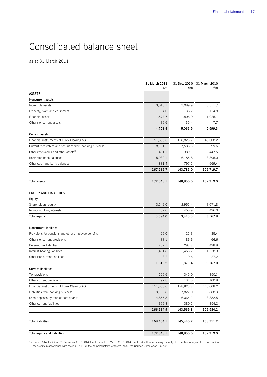## Consolidated balance sheet

as at 31 March 2011

|                                                          | 31 March 2011<br>€m | €m        | 31 Dec. 2010 31 March 2010<br>€m |
|----------------------------------------------------------|---------------------|-----------|----------------------------------|
| <b>ASSETS</b>                                            |                     |           |                                  |
| Noncurrent assets                                        |                     |           |                                  |
| Intangible assets                                        | 3,010.1             | 3,089.9   | 3,551.7                          |
| Property, plant and equipment                            | 134.0               | 138.2     | 114.8                            |
| Financial assets                                         | 1,577.7             | 1,806.0   | 1,925.1                          |
| Other noncurrent assets                                  | 36.6                | 35.4      | 7.7                              |
|                                                          | 4,758.4             | 5,069.5   | 5,599.3                          |
| <b>Current assets</b>                                    |                     |           |                                  |
| Financial instruments of Eurex Clearing AG               | 151,885.6           | 128,823.7 | 143,008.2                        |
| Current receivables and securities from banking business | 8,131.5             | 7,585.3   | 8,699.6                          |
| Other receivables and other assets <sup>1)</sup>         | 461.1               | 389.1     | 447.5                            |
| Restricted bank balances                                 | 5,930.1             | 6,185.8   | 3,895.0                          |
| Other cash and bank balances                             | 881.4               | 797.1     | 669.4                            |
|                                                          | 167,289.7           | 143,781.0 | 156,719.7                        |
| Total assets                                             | 172,048.1           | 148,850.5 | 162,319.0                        |
|                                                          |                     |           |                                  |
| EQUITY AND LIABILITIES                                   |                     |           |                                  |
| Equity                                                   |                     |           |                                  |
| Shareholders' equity                                     | 3,142.0             | 2,951.4   | 3,071.8                          |
| Non-controlling interests                                | 452.0               | 458.9     | 496.0                            |
| <b>Total equity</b>                                      | 3,594.0             | 3,410.3   | 3,567.8                          |
| <b>Noncurrent liabilities</b>                            |                     |           |                                  |
| Provisions for pensions and other employee benefits      | 29.0                | 21.3      | 35.4                             |
| Other noncurrent provisions                              | 88.1                | 86.6      | 66.6                             |
| Deferred tax liabilities                                 | 262.1               | 297.7     | 498.9                            |
| Interest-bearing liabilities                             | 1,431.8             | 1,455.2   | 1,538.9                          |
| Other noncurrent liabilities                             | 8.2                 | 9.6       | 27.2                             |
|                                                          | 1,819.2             | 1,870.4   | 2,167.0                          |
| <b>Current liabilities</b>                               |                     |           |                                  |
| Tax provisions                                           | 229.6               | 345.0     | 350.1                            |
| Other current provisions                                 | 97.8                | 134.8     | 100.9                            |
| Financial instruments of Eurex Clearing AG               | 151,885.6           | 128,823.7 | 143,008.2                        |
| Liabilities from banking business                        | 9,166.8             | 7,822.0   | 8,888.3                          |
| Cash deposits by market participants                     | 4,855.3             | 6,064.2   | 3,882.5                          |
| Other current liabilities                                | 399.8               | 380.1     | 354.2                            |
|                                                          | 166,634.9           | 143,569.8 | 156,584.2                        |
| <b>Total liabilities</b>                                 | 168,454.1           | 145,440.2 | 158,751.2                        |
| Total equity and liabilities                             | 172,048.1           | 148,850.5 | 162,319.0                        |

 $\overline{a}$ 

1) Thereof €14.1 million (31 December 2010: €14.1 million and 31 March 2010: €14.8 million) with a remaining maturity of more than one year from corporation tax credits in accordance with section 37 (5) of the Körperschaftsteuergesetz (KStG, the German Corporation Tax Act)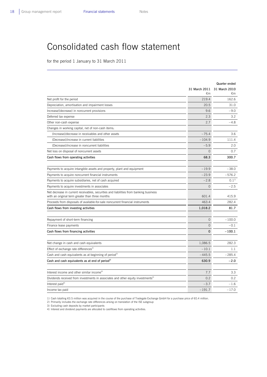$\overline{a}$ 

## Consolidated cash flow statement

for the period 1 January to 31 March 2011

|                                                                                                                                          |                | Quarter ended |
|------------------------------------------------------------------------------------------------------------------------------------------|----------------|---------------|
|                                                                                                                                          | 31 March 2011  | 31 March 2010 |
|                                                                                                                                          | €m             | €m            |
| Net profit for the period                                                                                                                | 219.4          | 162.6         |
| Depreciation, amortisation and impairment losses                                                                                         | 20.5           | 31.0          |
| Increase/(decrease) in noncurrent provisions                                                                                             | 9.6            | $-9.0$        |
| Deferred tax expense                                                                                                                     | 2.3            | 3.2           |
| Other non-cash expense                                                                                                                   | 2.7            | $-4.8$        |
| Changes in working capital, net of non-cash items:                                                                                       |                |               |
| (Increase)/decrease in receivables and other assets                                                                                      | $-75.4$        | 3.6           |
| (Decrease)/increase in current liabilities                                                                                               | $-104.9$       | 111.4         |
| (Decrease)/increase in noncurrent liabilities                                                                                            | $-5.9$         | 2.0           |
| Net loss on disposal of noncurrent assets                                                                                                | $\mathbf 0$    | 0.7           |
| Cash flows from operating activities                                                                                                     | 68.3           | 300.7         |
|                                                                                                                                          |                |               |
| Payments to acquire intangible assets and property, plant and equipment                                                                  | $-19.9$        | $-38.0$       |
| Payments to acquire noncurrent financial instruments                                                                                     | $-23.9$        | $-576.2$      |
| Payments to acquire subsidiaries, net of cash acquired                                                                                   | $-2.8$         | $0.1^{11}$    |
| Payments to acquire investments in associates                                                                                            | $\Omega$       | $-2.5$        |
| Net decrease in current receivables, securities and liabilities from banking business<br>with an original term greater than three months | 601.4          | 415.9         |
| Proceeds from disposals of available-for-sale noncurrent financial instruments                                                           | 463.4          | 282.4         |
| Cash flows from investing activities                                                                                                     | 1,018.2        | 81.7          |
|                                                                                                                                          |                |               |
| Repayment of short-term financing                                                                                                        | $\overline{O}$ | $-100.0$      |
| Finance lease payments                                                                                                                   | $\Omega$       | $-0.1$        |
| Cash flows from financing activities                                                                                                     | $\Omega$       | $-100.1$      |
|                                                                                                                                          |                |               |
| Net change in cash and cash equivalents                                                                                                  | 1,086.5        | 282.3         |
| Effect of exchange rate differences <sup>2)</sup>                                                                                        | $-10.1$        | 1.1           |
| Cash and cash equivalents as at beginning of period <sup>3)</sup>                                                                        | $-445.5$       | $-285.4$      |
| Cash and cash equivalents as at end of period <sup>3)</sup>                                                                              | 630.9          | $-2.0$        |
|                                                                                                                                          |                |               |
| Interest income and other similar income <sup>4)</sup>                                                                                   | 7.7            | 3.3           |
| Dividends received from investments in associates and other equity investments <sup>4)</sup>                                             | 0.2            | 0.2           |
| Interest paid <sup>4)</sup>                                                                                                              | $-3.7$         | $-1.6$        |
| Income tax paid                                                                                                                          | $-191.7$       | $-17.0$       |

1) Cash totalling €0.5 million was acquired in the course of the purchase of Tradegate Exchange GmbH for a purchase price of €0.4 million.

2) Primarily includes the exchange rate differences arising on translation of the ISE subgroup 3) Excluding cash deposits by market participants

4) Interest and dividend payments are allocated to cashflows from operating activities.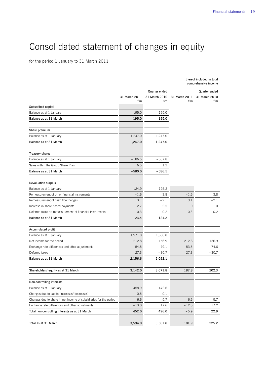# Consolidated statement of changes in equity

for the period 1 January to 31 March 2011

L

|                                                                   |                     |                                             |                            | thereof included in total<br>comprehensive income |
|-------------------------------------------------------------------|---------------------|---------------------------------------------|----------------------------|---------------------------------------------------|
|                                                                   | 31 March 2011<br>€m | <b>Quarter ended</b><br>31 March 2010<br>€m | ז ר<br>31 March 2011<br>€m | <b>Quarter ended</b><br>31 March 2010<br>€m       |
| Subscribed capital                                                |                     |                                             |                            |                                                   |
| Balance as at 1 January                                           | 195.0               | 195.0                                       |                            |                                                   |
| Balance as at 31 March                                            | 195.0               | 195.0                                       |                            |                                                   |
| Share premium                                                     |                     |                                             |                            |                                                   |
| Balance as at 1 January                                           | 1,247.0             | 1,247.0                                     |                            |                                                   |
| Balance as at 31 March                                            | 1,247.0             | 1,247.0                                     |                            |                                                   |
| <b>Treasury shares</b>                                            |                     |                                             |                            |                                                   |
| Balance as at 1 January                                           | $-586.5$            | $-587.8$                                    |                            |                                                   |
| Sales within the Group Share Plan                                 | 6.5                 | 1.3                                         |                            |                                                   |
| Balance as at 31 March                                            | $-580.0$            | $-586.5$                                    |                            |                                                   |
| <b>Revaluation surplus</b>                                        |                     |                                             |                            |                                                   |
| Balance as at 1 January                                           | 124.9               | 125.2                                       |                            |                                                   |
| Remeasurement of other financial instruments                      | $-1.6$              | 3.8                                         | $-1.6$                     | 3.8                                               |
| Remeasurement of cash flow hedges                                 | 3.1                 | $-2.1$                                      | 3.1                        | $-2.1$                                            |
| Increase in share-based payments                                  | $-2.7$              | $-2.5$                                      | $\overline{0}$             | $\circ$                                           |
| Deferred taxes on remeasurement of financial instruments          | $-0.3$              | $-0.2$                                      | $-0.3$                     | $-0.2$                                            |
| Balance as at 31 March                                            | 123.4               | 124.2                                       |                            |                                                   |
| Accumulated profit                                                |                     |                                             |                            |                                                   |
| Balance as at 1 January                                           | 1,971.0             | 1,886.8                                     |                            |                                                   |
| Net income for the period                                         | 212.8               | 156.9                                       | 212.8                      | 156.9                                             |
| Exchange rate differences and other adjustments                   | $-54.5$             | 79.1                                        | $-53.5$                    | 74.6                                              |
| Deferred taxes                                                    | 27.3                | $-30.7$                                     | 27.3                       | $-30.7$                                           |
| Balance as at 31 March                                            | 2,156.6             | 2,092.1                                     |                            |                                                   |
| Shareholders' equity as at 31 March                               | 3,142.0             | 3,071.8                                     | 187.8                      | 202.3                                             |
| Non-controlling interests                                         |                     |                                             |                            |                                                   |
| Balance as at 1 January                                           | 458.9               | 472.6                                       |                            |                                                   |
| Changes due to capital increases/(decreases)                      | $-0.5$              | 0.1                                         |                            |                                                   |
| Changes due to share in net income of subsidiaries for the period | 6.6                 | 5.7                                         | 6.6                        | 5.7                                               |
| Exchange rate differences and other adjustments                   | $-13.0$             | 17.6                                        | $-12.5$                    | 17.2                                              |
| Total non-controlling interests as at 31 March                    | 452.0               | 496.0                                       | $-5.9$                     | 22.9                                              |
| Total as at 31 March                                              | 3,594.0             | 3,567.8                                     | 181.9                      | 225.2                                             |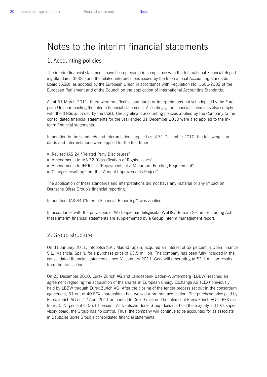## Notes to the interim financial statements

## 1. Accounting policies

The interim financial statements have been prepared in compliance with the International Financial Reporting Standards (IFRSs) and the related interpretations issued by the International Accounting Standards Board (IASB), as adopted by the European Union in accordance with Regulation No. 1606/2002 of the European Parliament and of the Council on the application of International Accounting Standards.

As at 31 March 2011, there were no effective standards or interpretations not yet adopted by the European Union impacting the interim financial statements. Accordingly, the financial statements also comply with the IFRSs as issued by the IASB. The significant accounting policies applied by the Company to the consolidated financial statements for the year ended 31 December 2010 were also applied to the interim financial statements.

In addition to the standards and interpretations applied as of 31 December 2010, the following standards and interpretations were applied for the first time:

- Revised IAS 24 "Related Party Disclosures"
- Amendments to IAS 32 "Classification of Rights Issues"
- Amendments to IFRIC 14 "Repayments of a Minumum Funding Requirement"
- Changes resulting from the "Annual Improvements Project"

The application of these standards and interpretations did not have any material or any impact on Deutsche Börse Group's financial reporting.

In addition, IAS 34 ("Interim Financial Reporting") was applied.

In accordance with the provisions of Wertpapierhandelsgesetz (WpHG, German Securities Trading Act), these interim financial statements are supplemented by a Group interim management report.

## 2. Group structure

On 31 January 2011, Infobolsa S.A., Madrid, Spain, acquired an interest of 62 percent in Open Finance S.L., Valencia, Spain, for a purchase price of  $63.5$  million. The company has been fully included in the consolidated financial statements since 31 January 2011. Goodwill amounting to €3.1 million results from the transaction.

On 23 December 2010, Eurex Zürich AG and Landesbank Baden-Württemberg (LBBW) reached an agreement regarding the acquisition of the shares in European Energy Exchange AG (EEX) previously held by LBBW through Eurex Zürich AG. After the closing of the tender process set out in the consortium agreement, 31 out of 40 EEX shareholders had waived a pro rata acquisition. The purchase price paid by Eurex Zürich AG on 12 April 2011 amounted to €64.9 million. The interest of Eurex Zürich AG in EEX rose from 35.23 percent to 56.14 percent. As Deutsche Börse Group does not hold the majority in EEX's supervisory board, the Group has no control. Thus, the company will continue to be accounted for as associate in Deutsche Börse Group's consolidated financial statements.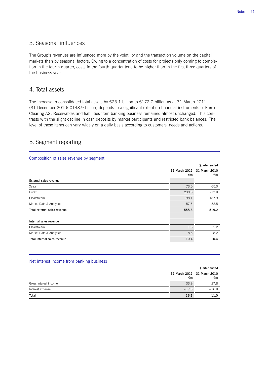## 3. Seasonal influences

The Group's revenues are influenced more by the volatility and the transaction volume on the capital markets than by seasonal factors. Owing to a concentration of costs for projects only coming to completion in the fourth quarter, costs in the fourth quarter tend to be higher than in the first three quarters of the business year.

## 4. Total assets

The increase in consolidated total assets by €23.1 billion to €172.0 billion as at 31 March 2011 (31 December 2010: €148.9 billion) depends to a significant extent on financial instruments of Eurex Clearing AG. Receivables and liabilities from banking business remained almost unchanged. This contrasts with the slight decline in cash deposits by market participants and restricted bank balances. The level of these items can vary widely on a daily basis according to customers' needs and actions.

 $\overline{a}$ 

 $\overline{a}$ 

## 5. Segment reporting

## Composition of sales revenue by segment

|                              |               | Quarter ended |
|------------------------------|---------------|---------------|
|                              | 31 March 2011 | 31 March 2010 |
|                              | €m            | €m            |
| External sales revenue       |               |               |
| Xetra                        | 73.0          | 65.0          |
| Eurex                        | 230.0         | 213.8         |
| Clearstream                  | 198.1         | 187.9         |
| Market Data & Analytics      | 57.5          | 52.5          |
| Total external sales revenue | 558.6         | 519.2         |
| Internal sales revenue       |               |               |
| Clearstream                  | 1.8           | $2.2^{\circ}$ |
| Market Data & Analytics      | 8.6           | 8.2           |
| Total internal sales revenue | 10.4          | 10.4          |

### Net interest income from banking business

|                       |         | Quarter ended                     |
|-----------------------|---------|-----------------------------------|
|                       | €m      | 31 March 2011 31 March 2010<br>€m |
| Gross interest income | 33.9    | 27.8                              |
| Interest expense      | $-17.8$ | $-16.8$                           |
| Total                 | 16.1    | 11.0                              |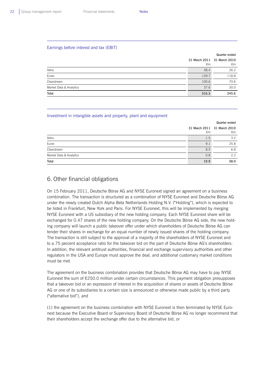$\overline{a}$ 

 $\overline{a}$ 

## Earnings before interest and tax (EBIT)

|                         |       | Quarter ended                     |
|-------------------------|-------|-----------------------------------|
|                         | €m    | 31 March 2011 31 March 2010<br>€m |
| Xetra                   | 38.4  | 26.2                              |
| Eurex                   | 139.7 | 118.8                             |
| Clearstream             | 100.6 | 70.6                              |
| Market Data & Analytics | 37.6  | 30.0                              |
| Total                   | 316.3 | 245.6                             |

### Investment in intangible assets and property, plant and equipment

|                         |      | Quarter ended                     |
|-------------------------|------|-----------------------------------|
|                         | €m   | 31 March 2011 31 March 2010<br>€m |
| Xetra                   | 1.5  | 3.2                               |
| Eurex                   | 9.1  | 25.8                              |
| Clearstream             | 8.5  | 6.8                               |
| Market Data & Analytics | 0.8  | 2.2                               |
| Total                   | 19.9 | 38.0                              |

## 6. Other financial obligations

On 15 February 2011, Deutsche Börse AG and NYSE Euronext signed an agreement on a business combination. The transaction is structured as a combination of NYSE Euronext and Deutsche Börse AG under the newly created Dutch Alpha Beta Netherlands Holding N.V. ("Holding"), which is expected to be listed in Frankfurt, New York and Paris. For NYSE Euronext, this will be implemented by merging NYSE Euronext with a US subsidiary of the new holding company. Each NYSE Euronext share will be exchanged for 0.47 shares of the new holding company. On the Deutsche Börse AG side, the new holding company will launch a public takeover offer under which shareholders of Deutsche Börse AG can tender their shares in exchange for an equal number of newly issued shares of the holding company. The transaction is still subject to the approval of a majority of the shareholders of NYSE Euronext and to a 75 percent acceptance ratio for the takeover bid on the part of Deutsche Börse AG's shareholders. In addition, the relevant antitrust authorities, financial and exchange supervisory authorities and other regulators in the USA and Europe must approve the deal, and additional customary market conditions must be met.

The agreement on the business combination provides that Deutsche Börse AG may have to pay NYSE Euronext the sum of €250.0 million under certain circumstances. This payment obligation presupposes that a takeover bid or an expression of interest in the acquisition of shares or assets of Deutsche Börse AG or one of its subsidiaries to a certain size is announced or otherwise made public by a third party ("alternative bid"), and

(1) the agreement on the business combination with NYSE Euronext is then terminated by NYSE Euronext because the Executive Board or Supervisory Board of Deutsche Börse AG no longer recommend that their shareholders accept the exchange offer due to the alternative bid, or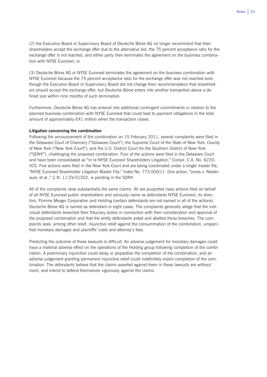(2) the Executive Board or Supervisory Board of Deutsche Börse AG no longer recommend that their shareholders accept the exchange offer due to the alternative bid, the 75 percent acceptance ratio for the exchange offer is not reached, and either party then terminates the agreement on the business combination with NYSE Euronext, or

(3) Deutsche Börse AG or NYSE Euronext terminates the agreement on the business combination with NYSE Euronext because the 75 percent acceptance ratio for the exchange offer was not reached even though the Executive Board or Supervisory Board did not change their recommendation that shareholders should accept the exchange offer, but Deutsche Börse enters into another transaction above a defined size within nine months of such termination.

Furthermore, Deutsche Börse AG has entered into additional contingent commitments in relation to the planned business combination with NYSE Euronext that could lead to payment obligations in the total amount of approximately €41 million when the transaction closes.

### **Litigation concerning the combination**

Following the announcement of the combination on 15 February 2011, several complaints were filed in the Delaware Court of Chancery ("Delaware Court"); the Supreme Court of the State of New York, County of New York ("New York Court"); and the U.S. District Court for the Southern District of New York ("SDNY"), challenging the proposed combination. Four of the actions were filed in the Delaware Court and have been consolidated as "In re NYSE Euronext Shareholders Litigation," Consol. C.A. No. 6220- VCS. Five actions were filed in the New York Court and are being coordinated under a single master file, "NYSE Euronext Shareholder Litigation Master File," Index No. 773,000/11. One action, "Jones v. Niederauer, et al.," C.N. 11-CV-01502, is pending in the SDNY.

All of the complaints raise substantially the same claims. All are purported class actions filed on behalf of all NYSE Euronext public shareholders and variously name as defendants NYSE Euronext, its directors, Pomme Merger Corporation and Holding (certain defendants are not named in all of the actions). Deutsche Börse AG is named as defendant in eight cases. The complaints generally allege that the individual defendants breached their fiduciary duties in connection with their consideration and approval of the proposed combination and that the entity defendants aided and abetted those breaches. The complaints seek, among other relief, injunctive relief against the consummation of the combination, unspecified monetary damages and plaintiffs' costs and attorney's fees.

Predicting the outcome of these lawsuits is difficult. An adverse judgement for monetary damages could have a material adverse effect on the operations of the Holding group following completion of the combination. A preliminary injunction could delay or jeopardise the completion of the combination, and an adverse judgement granting permanent injunctive relief could indefinitely enjoin completion of the combination. The defendants believe that the claims asserted against them in these lawsuits are without merit, and intend to defend themselves vigorously against the claims.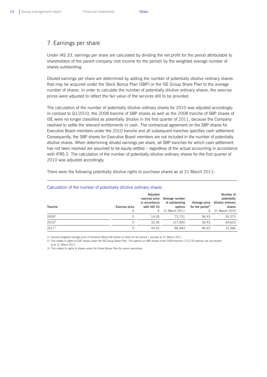## 7. Earnings per share

Under IAS 33, earnings per share are calculated by dividing the net profit for the period attributable to shareholders of the parent company (net income for the period) by the weighted average number of shares outstanding.

Diluted earnings per share are determined by adding the number of potentially dilutive ordinary shares that may be acquired under the Stock Bonus Plan (SBP) or the ISE Group Share Plan to the average number of shares. In order to calculate the number of potentially dilutive ordinary shares, the exercise prices were adjusted to reflect the fair value of the services still to be provided.

The calculation of the number of potentially dilutive ordinary shares for 2010 was adjusted accordingly: in contrast to Q1/2010, the 2008 tranche of SBP shares as well as the 2008 tranche of SBP shares of ISE were no longer classified as potentially dilutive in the first quarter of 2011, because the Company resolved to settle the relevant entitlements in cash. The contractual agreement on the SBP shares for Executive Board members under the 2010 tranche and all subsequent tranches specifies cash settlement. Consequently, the SBP shares for Executive Board members are not included in the number of potentially dilutive shares. When determining diluted earnings per share, all SBP tranches for which cash settlement has not been resolved are assumed to be equity-settled – regardless of the actual accounting in accordance with IFRS 2. The calculation of the number of potentially dilutive ordinary shares for the first quarter of 2010 was adjusted accordingly.

There were the following potentially dilutive rights to purchase shares as at 31 March 2011:

| Tranche    | Exercise price<br>€ | Adjusted<br>exercise price<br>in accordance<br>with IAS 33<br>€ | Average number<br>of outstanding<br>options<br>31 March 2011 | Average price<br>for the period $^{1)}$<br>€. | Number of<br>potentially<br>dilutive ordinary<br>shares<br>31 March 2010 |
|------------|---------------------|-----------------------------------------------------------------|--------------------------------------------------------------|-----------------------------------------------|--------------------------------------------------------------------------|
| $2009^{2}$ | 0                   | 14.05                                                           | 73.731                                                       | 56.43                                         | 55,373                                                                   |
| $2010^{3}$ | 0                   | 32.34                                                           | 127.954                                                      | 56.43                                         | 54,623                                                                   |
| $2011^{3}$ |                     | 44.32                                                           | 66.944                                                       | 56.43                                         | 14,366                                                                   |

## Calculation of the number of potentially dilutive ordinary shares

1) Volume-weighted average price of Deutsche Börse AG shares on Xetra for the period 1 January to 31 March 2011

2) This relates to rights to GSP shares under the ISE Group Share Plan. The options on SBP shares of the 2009 tranche (175,276 options) are not dilutive

as at 31 March 2011.

 $\overline{a}$ 

3) This relates to rights to shares under the Share Bones Plan for senior executives.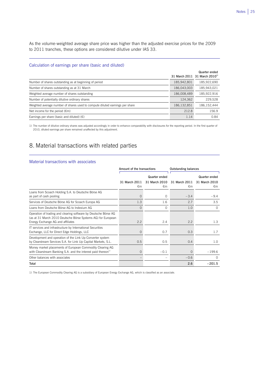As the volume-weighted average share price was higher than the adjusted exercise prices for the 2009 to 2011 tranches, these options are considered dilutive under IAS 33.

 $\overline{a}$ 

## Calculation of earnings per share (basic and diluted)

|                                                                              |               | Quarter ended<br>31 March 2011 31 March 2010 <sup>1)</sup> |
|------------------------------------------------------------------------------|---------------|------------------------------------------------------------|
| Number of shares outstanding as at beginning of period                       | 185,942,801   | 185,922,690                                                |
| Number of shares outstanding as at 31 March                                  | 186,043,003   | 185.943.021                                                |
| Weighted average number of shares outstanding                                | 186,008,489   | 185,922,916                                                |
| Number of potentially dilutive ordinary shares                               | 124,362       | 229.528                                                    |
| Weighted average number of shares used to compute diluted earnings per share | 186, 132, 851 | 186.152.444                                                |
| Net income for the period $(\epsilon m)$                                     | 212.8         | 156.9                                                      |
| Earnings per share (basic and diluted) $(\epsilon)$                          | 1.14          | 0.84                                                       |

1) The number of dilutive ordinary shares was adjusted accordingly in order to enhance comparability with disclosures for the reporting period. In the first quarter of 2010, diluted earnings per share remained unaffected by this adjustment.

## 8. Material transactions with related parties

#### Material transactions with associates

 $\overline{a}$ 

|                                                                                                                                                                      | Amount of the transactions |                               | <b>Outstanding balances</b>   |                     |  |
|----------------------------------------------------------------------------------------------------------------------------------------------------------------------|----------------------------|-------------------------------|-------------------------------|---------------------|--|
|                                                                                                                                                                      |                            | Quarter ended                 |                               | Quarter ended       |  |
|                                                                                                                                                                      | 31 March 2011<br>€m        | 31 March 2010<br>$\epsilon$ m | 31 March 2011<br>$\epsilon$ m | 31 March 2010<br>€m |  |
| Loans from Scoach Holding S.A. to Deutsche Börse AG<br>as part of cash pooling                                                                                       | $\Omega$                   | $\Omega$                      | $-3.4$                        | $-9.4$              |  |
| Services of Deutsche Börse AG for Scoach Europa AG                                                                                                                   | 1.3                        | 1.6                           | 2.7                           | 3.5                 |  |
| Loans from Deutsche Börse AG to Indexium AG                                                                                                                          | $\Omega$                   | $\Omega$                      | 1.0                           | $\Omega$            |  |
| Operation of trading and clearing software by Deutsche Börse AG<br>(as at 31 March 2010 Deutsche Börse Systems AG) for European<br>Energy Exchange AG and affiliates | 2.2                        | 2.4                           | 2.2                           | 1.3                 |  |
| IT services and infrastructure by International Securities<br>Exchange, LLC for Direct Edge Holdings, LLC                                                            | $\Omega$                   | 0.7                           | 0.3                           | 1.7                 |  |
| Development and operation of the Link Up Converter system<br>by Clearstream Services S.A. for Link Up Capital Markets, S.L.                                          | 0.5                        | 0.5                           | 0.4                           | 1.0                 |  |
| Money market placements of European Commodity Clearing AG<br>with Clearstream Banking S.A. and the interest paid thereon <sup>1)</sup>                               | $\Omega$                   | $-0.1$                        | $\Omega$                      | $-199.6$            |  |
| Other balances with associates                                                                                                                                       |                            |                               | $-0.6$                        | $\Omega$            |  |
| Total                                                                                                                                                                |                            |                               | 2.6                           | $-201.5$            |  |

1) The European Commodity Clearing AG is a subsidiary of European Energy Exchange AG, which is classified as an associate.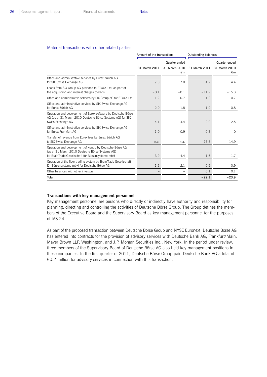L

#### Material transactions with other related parties

|                                                                                                                                                                  | Amount of the transactions |                     | <b>Outstanding balances</b> |                               |
|------------------------------------------------------------------------------------------------------------------------------------------------------------------|----------------------------|---------------------|-----------------------------|-------------------------------|
|                                                                                                                                                                  |                            | Quarter ended       |                             | Quarter ended                 |
|                                                                                                                                                                  | 31 March 2011              | 31 March 2010<br>€m | 31 March 2011               | 31 March 2010<br>$\epsilon$ m |
| Office and administrative services by Eurex Zürich AG<br>for SIX Swiss Exchange AG                                                                               | 7.0                        | 7.0                 | 4.7                         | 4.4                           |
| Loans from SIX Group AG provided to STOXX Ltd. as part of<br>the acquisition and interest charges thereon                                                        | $-0.1$                     | $-0.1$              | $-11.2$                     | $-15.3$                       |
| Office and administrative services by SIX Group AG for STOXX Ltd.                                                                                                | $-1.2$                     | $-0.7$              | $-1.2$                      | $-0.7$                        |
| Office and administrative services by SIX Swiss Exchange AG<br>for Furex Zürich AG                                                                               | $-2.0$                     | $-1.8$              | $-1.0$                      | $-0.8$                        |
| Operation and development of Eurex software by Deutsche Börse<br>AG (as at 31 March 2010 Deutsche Börse Systems AG) for SIX<br>Swiss Exchange AG                 | 4.1                        | 4.4                 | 2.9                         | 2.5                           |
| Office and administrative services by SIX Swiss Exchange AG<br>for Furex Frankfurt AG                                                                            | $-1.0$                     | $-0.9$              | $-0.3$                      | $\Omega$                      |
| Transfer of revenue from Eurex fees by Eurex Zürich AG<br>to SIX Swiss Exchange AG                                                                               | n.a.                       | n.a.                | $-16.8$                     | $-14.9$                       |
| Operation and development of Xontro by Deutsche Börse AG<br>(as at 31 March 2010 Deutsche Börse Systems AG)<br>for BrainTrade Gesellschaft für Börsensysteme mbH | 3.9                        | 4.4                 | 1.6                         | 1.7                           |
| Operation of the floor trading system by BrainTrade Gesellschaft<br>für Börsensysteme mbH for Deutsche Börse AG                                                  | 1.6                        | $-2.1$              | $-0.9$                      | $-0.9$                        |
| Other balances with other investors                                                                                                                              |                            |                     | 0.1                         | 0.1                           |
| Total                                                                                                                                                            |                            |                     | $-22.1$                     | $-23.9$                       |

### **Transactions with key management personnel**

Key management personnel are persons who directly or indirectly have authority and responsibility for planning, directing and controlling the activities of Deutsche Börse Group. The Group defines the members of the Executive Board and the Supervisory Board as key management personnel for the purposes of IAS 24.

As part of the proposed transaction between Deutsche Börse Group and NYSE Euronext, Deutsche Börse AG has entered into contracts for the provision of advisory services with Deutsche Bank AG, Frankfurt/Main, Mayer Brown LLP, Washington, and J.P. Morgan Securities Inc., New York. In the period under review, three members of the Supervisory Board of Deutsche Börse AG also held key management positions in these companies. In the first quarter of 2011, Deutsche Börse Group paid Deutsche Bank AG a total of €0.2 million for advisory services in connection with this transaction.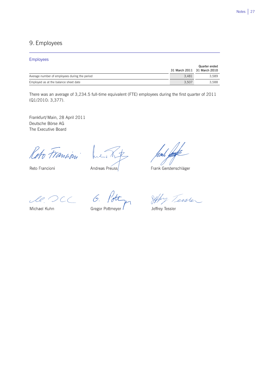## 9. Employees

## Employees

|                                               |       | Quarter ended               |
|-----------------------------------------------|-------|-----------------------------|
|                                               |       | 31 March 2011 31 March 2010 |
| Average number of employees during the period | 3.481 | 3.589                       |
| Employed as at the balance sheet date         | 3.507 | 3.588                       |

There was an average of 3,234.5 full-time equivalent (FTE) employees during the first quarter of 2011 (Q1/2010: 3,377).

Frankfurt/Main, 28 April 2011 Deutsche Börse AG The Executive Board

Reto Francion

Reto Francioni

Andreas Preuss

 $\overline{a}$ 

Frank Gerstenschläger

le DCC 6.

Michael Kuhn

**Gregor Pottmeyer** 

Jeffy Tessler

Jeffrey Tessler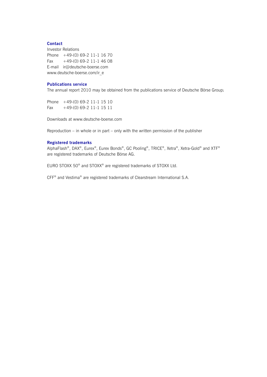## **Contact**

Investor Relations Phone +49-(0) 69-2 11-1 16 70 Fax  $+49-(0)$  69-2 11-1 46 08 E-mail ir@deutsche-boerse.com www.deutsche-boerse.com/ir\_e

## **Publications service**

The annual report 2010 may be obtained from the publications service of Deutsche Börse Group:

Phone +49-(0) 69-2 11-1 15 10 Fax +49-(0) 69-2 11-1 15 11

Downloads at www.deutsche-boerse.com

Reproduction – in whole or in part – only with the written permission of the publisher

## **Registered trademarks**

AlphaFlash®, DAX®, Eurex®, Eurex Bonds®, GC Pooling®, TRICE®, Xetra®, Xetra-Gold® and XTF® are registered trademarks of Deutsche Börse AG.

EURO STOXX 50® and STOXX® are registered trademarks of STOXX Ltd.

CFF® and Vestima® are registered trademarks of Clearstream International S.A.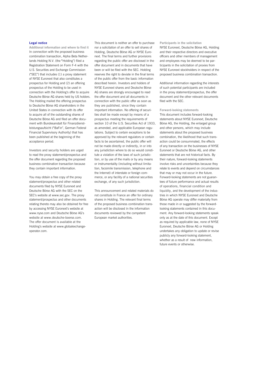#### **Legal notice**

**Additional information and where to find it**  In connection with the proposed business combination transaction, Alpha Beta Netherlands Holding N.V. (the "Holding") filed a Registration Statement on Form F-4 with the U.S. Securities and Exchange Commission ("SEC") that includes (1) a proxy statement of NYSE Euronext that also constitutes a prospectus for Holding and (2) an offering prospectus of the Holding to be used in connection with the Holding's offer to acquire Deutsche Börse AG shares held by US holders. The Holding mailed the offering prospectus to Deutsche Börse AG shareholders in the United States in connection with its offer to acquire all of the outstanding shares of Deutsche Börse AG and filed an offer document with Bundesanstalt für Finanzdienstleistungsaufsicht ("BaFin", German Federal Financial Supervisory Authority) that has been published at the beginning of the acceptance period.

Investors and security holders are urged to read the proxy statement/prospectus and the offer document regarding the proposed business combination transaction because they contain important information.

You may obtain a free copy of the proxy statement/prospectus and other related documents filed by NYSE Euronext and Deutsche Börse AG with the SEC on the SEC's website at www.sec.gov. The proxy statement/prospectus and other documents relating thereto may also be obtained for free by accessing NYSE Euronext's website at www.nyse.com and Deutsche Börse AG's website at www.deutsche-boerse.com. The offer document is available at the Holding's website at www.globalexchangeoperator.com.

This document is neither an offer to purchase nor a solicitation of an offer to sell shares of Holding, Deutsche Börse AG or NYSE Euronext. The final terms and further provisions regarding the public offer are disclosed in the offer document and in documents that have been or will be filed with the SEC. Holding reserves the right to deviate in the final terms of the public offer from the basic information described herein. Investors and holders of NYSE Euronext shares and Deutsche Börse AG shares are strongly encouraged to read the offer document and all documents in connection with the public offer as soon as they are published, since they contain important information. No offering of securities shall be made except by means of a prospectus meeting the requirements of section 10 of the U.S. Securities Act of 1933. as amended, and applicable European regulations. Subject to certain exceptions to be approved by the relevant regulators or certain facts to be ascertained, the public offer will not be made directly or indirectly, in or into any jurisdiction where to do so would constitute a violation of the laws of such jurisdiction, or by use of the mails or by any means or instrumentality (including without limitation, facsimile transmission, telephone and the Internet) of interstate or foreign commerce, or any facility of a national securities exchange, of any such jurisdiction.

This announcement and related materials do not constitute in France an offer for ordinary shares in Holding. The relevant final terms of the proposed business combination transaction will be disclosed in the information documents reviewed by the competent European market authorities.

#### **Participants in the solicitation**  NYSE Euronext, Deutsche Börse AG, Holding and their respective directors and executive officers and other members of management and employees may be deemed to be participants in the solicitation of proxies from NYSE Euronext stockholders in respect of the proposed business combination transaction.

Additional information regarding the interests of such potential participants are included in the proxy statement/prospectus, the offer document and the other relevant documents filed with the SEC.

#### **Forward-looking statements**

This document includes forward-looking statements about NYSE Euronext, Deutsche Börse AG, the Holding, the enlarged group and other persons, which may include statements about the proposed business combination, the likelihood that such transaction could be consummated, the effects of any transaction on the businesses of NYSE Euronext or Deutsche Börse AG, and other statements that are not historical facts. By their nature, forward-looking statements involve risks and uncertainties because they relate to events and depend on circumstances that may or may not occur in the future. Forward-looking statements are not guarantees of future performance and actual results of operations, financial condition and liquidity, and the development of the industries in which NYSE Euronext and Deutsche Börse AG operate may differ materially from those made in or suggested by the forwardlooking statements contained in this document. Any forward-looking statements speak only as at the date of this document. Except as required by applicable law, none of NYSE Euronext, Deutsche Börse AG or Holding undertakes any obligation to update or revise publicly any forward-looking statement, whether as a result of new information. future events or otherwise.